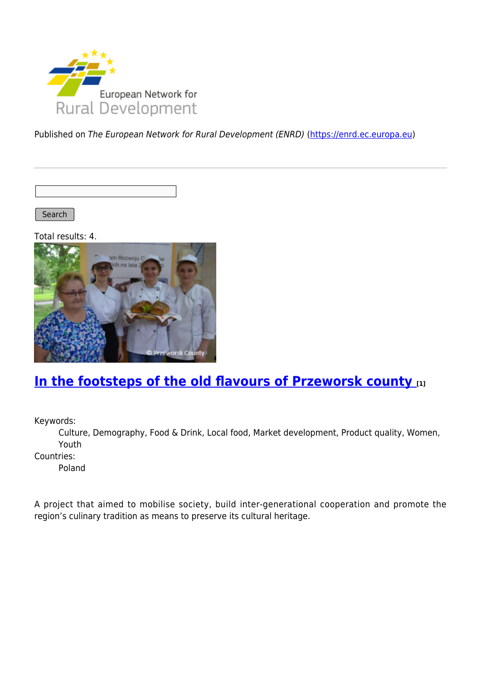

Published on The European Network for Rural Development (ENRD) [\(https://enrd.ec.europa.eu](https://enrd.ec.europa.eu))

Search

Total results: 4.



### **[In the footsteps of the old flavours of Przeworsk county](https://enrd.ec.europa.eu/projects-practice/footsteps-old-flavours-przeworsk-county_en) [1]**

Keywords:

Culture, Demography, Food & Drink, Local food, Market development, Product quality, Women, Youth

Countries:

Poland

A project that aimed to mobilise society, build inter-generational cooperation and promote the region's culinary tradition as means to preserve its cultural heritage.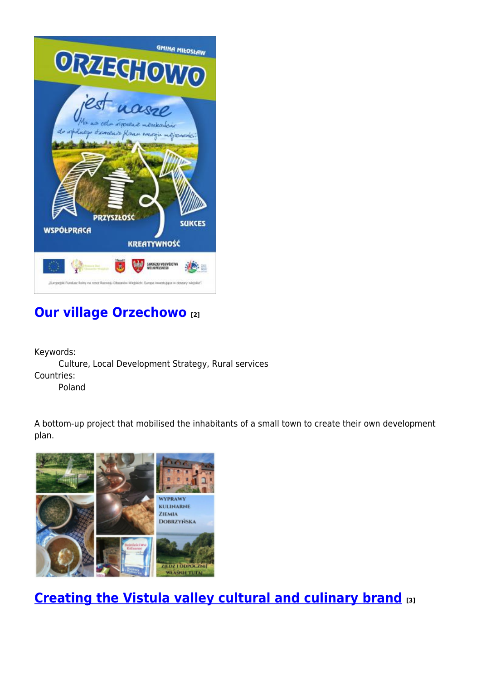

## **[Our village Orzechowo](https://enrd.ec.europa.eu/projects-practice/our-village-orzechowo_en) [2]**

Keywords: Culture, Local Development Strategy, Rural services Countries: Poland

A bottom-up project that mobilised the inhabitants of a small town to create their own development plan.



**[Creating the Vistula valley cultural and culinary brand](https://enrd.ec.europa.eu/projects-practice/creating-vistula-valley-cultural-and-culinary-brand_en) [3]**